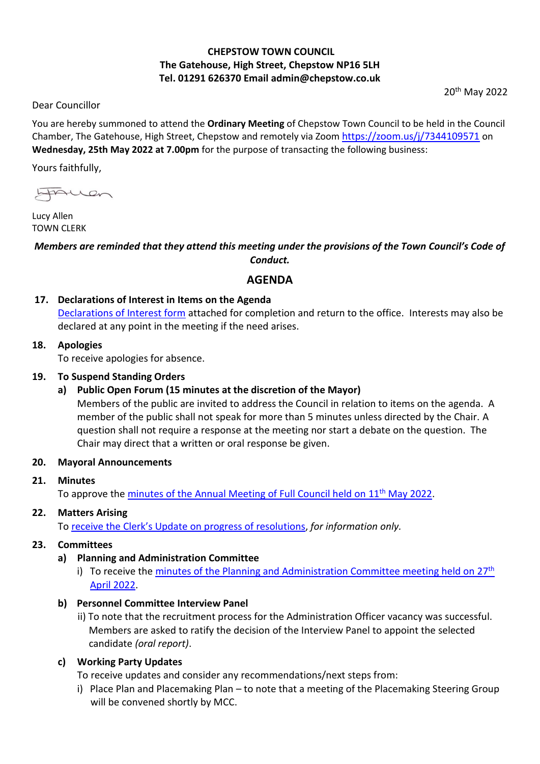# **CHEPSTOW TOWN COUNCIL The Gatehouse, High Street, Chepstow NP16 5LH Tel. 01291 626370 Email admin@chepstow.co.uk**

20th May 2022

Dear Councillor

You are hereby summoned to attend the **Ordinary Meeting** of Chepstow Town Council to be held in the Council Chamber, The Gatehouse, High Street, Chepstow and remotely via Zoom <https://zoom.us/j/7344109571> on **Wednesday, 25th May 2022 at 7.00pm** for the purpose of transacting the following business:

Yours faithfully,

FALLON

Lucy Allen TOWN CLERK

## *Members are reminded that they attend this meeting under the provisions of the Town Council's Code of Conduct.*

## **AGENDA**

## **17. Declarations of Interest in Items on the Agenda**

[Declarations of Interest form](https://docs.google.com/document/d/1iUxiz9mDsJ7D2ThsCFBGDbXuX6Ckifyb/edit?usp=sharing&ouid=105404938322282414139&rtpof=true&sd=true) attached for completion and return to the office. Interests may also be declared at any point in the meeting if the need arises.

#### **18. Apologies**

To receive apologies for absence.

## **19. To Suspend Standing Orders**

## **a) Public Open Forum (15 minutes at the discretion of the Mayor)**

Members of the public are invited to address the Council in relation to items on the agenda. A member of the public shall not speak for more than 5 minutes unless directed by the Chair. A question shall not require a response at the meeting nor start a debate on the question. The Chair may direct that a written or oral response be given.

## **20. Mayoral Announcements**

## **21. Minutes**

To approve the minutes of the Annual [Meeting of Full Council held on 11](http://www.chepstow.co.uk/_UserFiles/Files/_Minutes/144729-Minutes_AM_11th_May_2022_1.pdf)<sup>th</sup> May 2022.

## **22. Matters Arising**

To receive the Clerk's Update [on progress of resolutions,](https://drive.google.com/file/d/1NmtwXJAVuVBhl1yCExS294fuqbuae8Za/view?usp=sharing) *for information only.*

## **23. Committees**

## **a) Planning and Administration Committee**

i) To receive the [minutes of the Planning and Administration Committee meeting held on](http://www.chepstow.co.uk/_UserFiles/Files/_Minutes/143975-Minutes_of_Planning_OM_27th_April_2022.pdf)  $27<sup>th</sup>$ April [2022.](http://www.chepstow.co.uk/_UserFiles/Files/_Minutes/143975-Minutes_of_Planning_OM_27th_April_2022.pdf)

## **b) Personnel Committee Interview Panel**

ii) To note that the recruitment process for the Administration Officer vacancy was successful. Members are asked to ratify the decision of the Interview Panel to appoint the selected candidate *(oral report)*.

## **c) Working Party Updates**

To receive updates and consider any recommendations/next steps from:

i) Place Plan and Placemaking Plan – to note that a meeting of the Placemaking Steering Group will be convened shortly by MCC.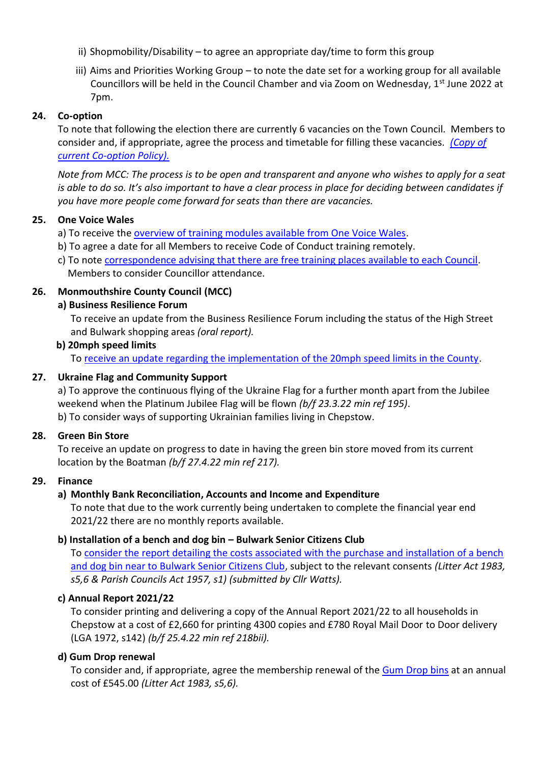- ii) Shopmobility/Disability to agree an appropriate day/time to form this group
- iii) Aims and Priorities Working Group to note the date set for a working group for all available Councillors will be held in the Council Chamber and via Zoom on Wednesday, 1<sup>st</sup> June 2022 at 7pm.

## **24. Co-option**

To note that following the election there are currently 6 vacancies on the Town Council*.* Members to consider and, if appropriate, agree the process and timetable for filling these vacancies. *[\(Copy of](https://drive.google.com/file/d/1fmGWScV8JjoH35RCKrXTEg_ndW1_0sQA/view?usp=sharing)  [current Co-option Policy\).](https://drive.google.com/file/d/1fmGWScV8JjoH35RCKrXTEg_ndW1_0sQA/view?usp=sharing)*

*Note from MCC: The process is to be open and transparent and anyone who wishes to apply for a seat is able to do so. It's also important to have a clear process in place for deciding between candidates if you have more people come forward for seats than there are vacancies.*

## **25. One Voice Wales**

- a) To receive the [overview of training modules available from One Voice Wales.](https://drive.google.com/file/d/1uz0pLZEnvectNUh-ba1tV2eqEvVsuRqG/view?usp=sharing)
- b) To agree a date for all Members to receive Code of Conduct training remotely.
- c) To note [correspondence advising that there are free training places available to each Council.](https://drive.google.com/file/d/100htJBNNuoz_euRvXfmFqked6uJf4MhO/view?usp=sharing) Members to consider Councillor attendance.

## **26. Monmouthshire County Council (MCC)**

## **a) Business Resilience Forum**

To receive an update from the Business Resilience Forum including the status of the High Street and Bulwark shopping areas *(oral report).*

## **b) 20mph speed limits**

To [receive an update regarding the implementation of the 20mph speed limits in the County.](https://drive.google.com/file/d/1wFiBomCiD2LAEOLqN8hSR8IiAEk6ElDQ/view?usp=sharing)

## **27. Ukraine Flag and Community Support**

a) To approve the continuous flying of the Ukraine Flag for a further month apart from the Jubilee weekend when the Platinum Jubilee Flag will be flown *(b/f 23.3.22 min ref 195)*. b) To consider ways of supporting Ukrainian families living in Chepstow.

## **28. Green Bin Store**

To receive an update on progress to date in having the green bin store moved from its current location by the Boatman *(b/f 27.4.22 min ref 217).*

## **29. Finance**

## **a) Monthly Bank Reconciliation, Accounts and Income and Expenditure**

To note that due to the work currently being undertaken to complete the financial year end 2021/22 there are no monthly reports available.

## **b) Installation of a bench and dog bin – Bulwark Senior Citizens Club**

To [consider the report detailing the costs associated with the purchase and installation of a bench](https://drive.google.com/file/d/1zHWYAMPYnuJHGqjDf-BgJf7lwHqHreQS/view?usp=sharing)  [and dog bin near to Bulwark Senior Citizens Club,](https://drive.google.com/file/d/1zHWYAMPYnuJHGqjDf-BgJf7lwHqHreQS/view?usp=sharing) subject to the relevant consents *(Litter Act 1983, s5,6 & Parish Councils Act 1957, s1) (submitted by Cllr Watts).*

## **c) Annual Report 2021/22**

To consider printing and delivering a copy of the Annual Report 2021/22 to all households in Chepstow at a cost of £2,660 for printing 4300 copies and £780 Royal Mail Door to Door delivery (LGA 1972, s142) *(b/f 25.4.22 min ref 218bii).*

## **d) Gum Drop renewal**

To consider and, if appropriate, agree the membership renewal of the [Gum Drop bins](https://gumdropltd.com/about/) at an annual cost of £545.00 *(Litter Act 1983, s5,6).*